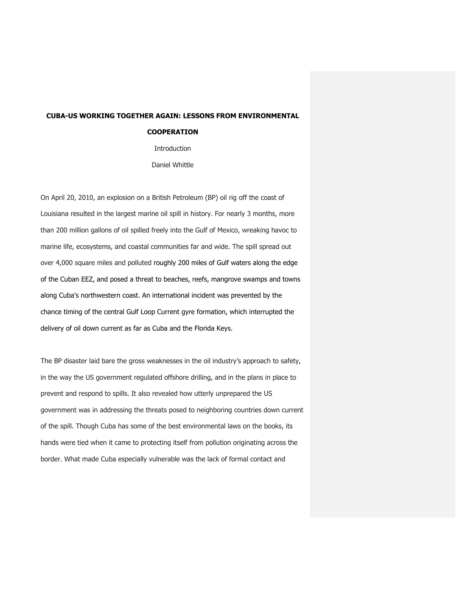## **CUBA-US WORKING TOGETHER AGAIN: LESSONS FROM ENVIRONMENTAL COOPERATION**

Introduction Daniel Whittle

On April 20, 2010, an explosion on a British Petroleum (BP) oil rig off the coast of Louisiana resulted in the largest marine oil spill in history. For nearly 3 months, more than 200 million gallons of oil spilled freely into the Gulf of Mexico, wreaking havoc to marine life, ecosystems, and coastal communities far and wide. The spill spread out over 4,000 square miles and polluted roughly 200 miles of Gulf waters along the edge of the Cuban EEZ, and posed a threat to beaches, reefs, mangrove swamps and towns along Cuba's northwestern coast. An international incident was prevented by the chance timing of the central Gulf Loop Current gyre formation, which interrupted the delivery of oil down current as far as Cuba and the Florida Keys.

The BP disaster laid bare the gross weaknesses in the oil industry's approach to safety, in the way the US government regulated offshore drilling, and in the plans in place to prevent and respond to spills. It also revealed how utterly unprepared the US government was in addressing the threats posed to neighboring countries down current of the spill. Though Cuba has some of the best environmental laws on the books, its hands were tied when it came to protecting itself from pollution originating across the border. What made Cuba especially vulnerable was the lack of formal contact and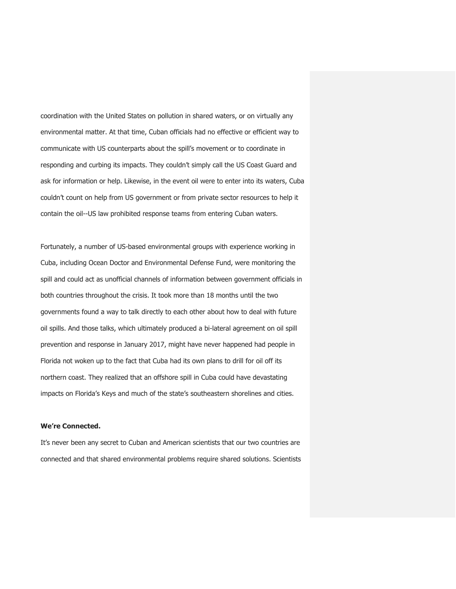coordination with the United States on pollution in shared waters, or on virtually any environmental matter. At that time, Cuban officials had no effective or efficient way to communicate with US counterparts about the spill's movement or to coordinate in responding and curbing its impacts. They couldn't simply call the US Coast Guard and ask for information or help. Likewise, in the event oil were to enter into its waters, Cuba couldn't count on help from US government or from private sector resources to help it contain the oil--US law prohibited response teams from entering Cuban waters.

Fortunately, a number of US-based environmental groups with experience working in Cuba, including Ocean Doctor and Environmental Defense Fund, were monitoring the spill and could act as unofficial channels of information between government officials in both countries throughout the crisis. It took more than 18 months until the two governments found a way to talk directly to each other about how to deal with future oil spills. And those talks, which ultimately produced a bi-lateral agreement on oil spill prevention and response in January 2017, might have never happened had people in Florida not woken up to the fact that Cuba had its own plans to drill for oil off its northern coast. They realized that an offshore spill in Cuba could have devastating impacts on Florida's Keys and much of the state's southeastern shorelines and cities.

## **We're Connected.**

It's never been any secret to Cuban and American scientists that our two countries are connected and that shared environmental problems require shared solutions. Scientists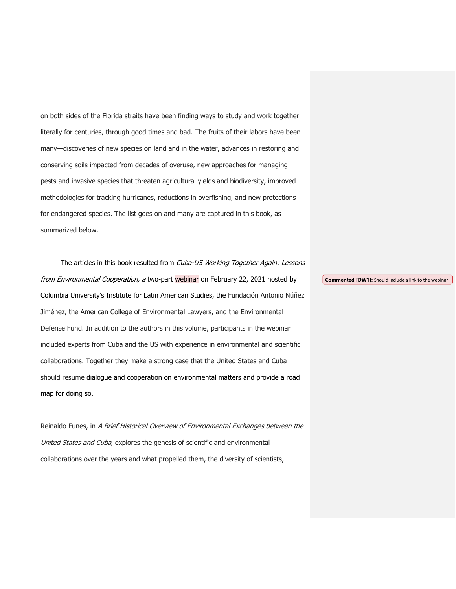on both sides of the Florida straits have been finding ways to study and work together literally for centuries, through good times and bad. The fruits of their labors have been many—discoveries of new species on land and in the water, advances in restoring and conserving soils impacted from decades of overuse, new approaches for managing pests and invasive species that threaten agricultural yields and biodiversity, improved methodologies for tracking hurricanes, reductions in overfishing, and new protections for endangered species. The list goes on and many are captured in this book, as summarized below.

The articles in this book resulted from Cuba-US Working Together Again: Lessons from Environmental Cooperation, a two-part webinar on February 22, 2021 hosted by Columbia University's Institute for Latin American Studies, the Fundación Antonio Núñez Jiménez, the American College of Environmental Lawyers, and the Environmental Defense Fund. In addition to the authors in this volume, participants in the webinar included experts from Cuba and the US with experience in environmental and scientific collaborations. Together they make a strong case that the United States and Cuba should resume dialogue and cooperation on environmental matters and provide a road map for doing so.

Reinaldo Funes, in A Brief Historical Overview of Environmental Exchanges between the United States and Cuba, explores the genesis of scientific and environmental collaborations over the years and what propelled them, the diversity of scientists,

**Commented [DW1]:** Should include a link to the webinar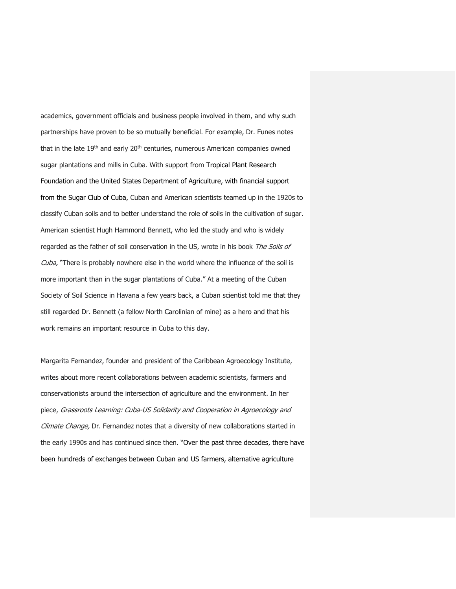academics, government officials and business people involved in them, and why such partnerships have proven to be so mutually beneficial. For example, Dr. Funes notes that in the late 19<sup>th</sup> and early 20<sup>th</sup> centuries, numerous American companies owned sugar plantations and mills in Cuba. With support from Tropical Plant Research Foundation and the United States Department of Agriculture, with financial support from the Sugar Club of Cuba, Cuban and American scientists teamed up in the 1920s to classify Cuban soils and to better understand the role of soils in the cultivation of sugar. American scientist Hugh Hammond Bennett, who led the study and who is widely regarded as the father of soil conservation in the US, wrote in his book The Soils of Cuba, "There is probably nowhere else in the world where the influence of the soil is more important than in the sugar plantations of Cuba." At a meeting of the Cuban Society of Soil Science in Havana a few years back, a Cuban scientist told me that they still regarded Dr. Bennett (a fellow North Carolinian of mine) as a hero and that his work remains an important resource in Cuba to this day.

Margarita Fernandez, founder and president of the Caribbean Agroecology Institute, writes about more recent collaborations between academic scientists, farmers and conservationists around the intersection of agriculture and the environment. In her piece, Grassroots Learning: Cuba-US Solidarity and Cooperation in Agroecology and Climate Change, Dr. Fernandez notes that a diversity of new collaborations started in the early 1990s and has continued since then. "Over the past three decades, there have been hundreds of exchanges between Cuban and US farmers, alternative agriculture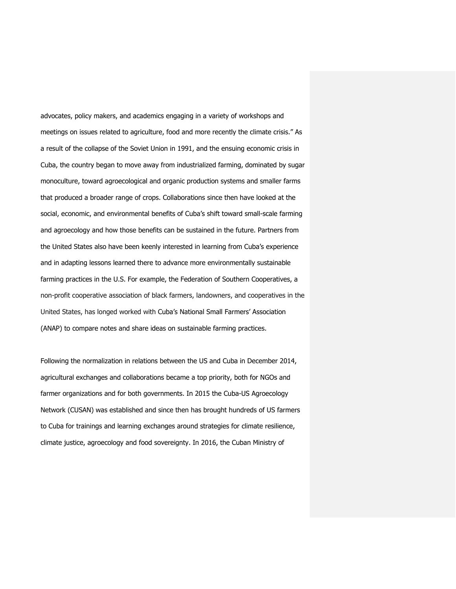advocates, policy makers, and academics engaging in a variety of workshops and meetings on issues related to agriculture, food and more recently the climate crisis." As a result of the collapse of the Soviet Union in 1991, and the ensuing economic crisis in Cuba, the country began to move away from industrialized farming, dominated by sugar monoculture, toward agroecological and organic production systems and smaller farms that produced a broader range of crops. Collaborations since then have looked at the social, economic, and environmental benefits of Cuba's shift toward small-scale farming and agroecology and how those benefits can be sustained in the future. Partners from the United States also have been keenly interested in learning from Cuba's experience and in adapting lessons learned there to advance more environmentally sustainable farming practices in the U.S. For example, the Federation of Southern Cooperatives, a non-profit cooperative association of black farmers, landowners, and cooperatives in the United States, has longed worked with Cuba's National Small Farmers' Association (ANAP) to compare notes and share ideas on sustainable farming practices.

Following the normalization in relations between the US and Cuba in December 2014, agricultural exchanges and collaborations became a top priority, both for NGOs and farmer organizations and for both governments. In 2015 the Cuba-US Agroecology Network (CUSAN) was established and since then has brought hundreds of US farmers to Cuba for trainings and learning exchanges around strategies for climate resilience, climate justice, agroecology and food sovereignty. In 2016, the Cuban Ministry of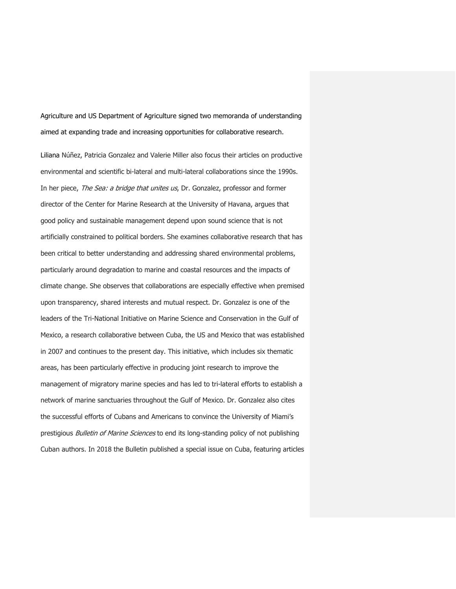Agriculture and US Department of Agriculture signed two memoranda of understanding aimed at expanding trade and increasing opportunities for collaborative research.

Liliana Núñez, Patricia Gonzalez and Valerie Miller also focus their articles on productive environmental and scientific bi-lateral and multi-lateral collaborations since the 1990s. In her piece, The Sea: a bridge that unites us, Dr. Gonzalez, professor and former director of the Center for Marine Research at the University of Havana, argues that good policy and sustainable management depend upon sound science that is not artificially constrained to political borders. She examines collaborative research that has been critical to better understanding and addressing shared environmental problems, particularly around degradation to marine and coastal resources and the impacts of climate change. She observes that collaborations are especially effective when premised upon transparency, shared interests and mutual respect. Dr. Gonzalez is one of the leaders of the Tri-National Initiative on Marine Science and Conservation in the Gulf of Mexico, a research collaborative between Cuba, the US and Mexico that was established in 2007 and continues to the present day. This initiative, which includes six thematic areas, has been particularly effective in producing joint research to improve the management of migratory marine species and has led to tri-lateral efforts to establish a network of marine sanctuaries throughout the Gulf of Mexico. Dr. Gonzalez also cites the successful efforts of Cubans and Americans to convince the University of Miami's prestigious Bulletin of Marine Sciences to end its long-standing policy of not publishing Cuban authors. In 2018 the Bulletin published a special issue on Cuba, featuring articles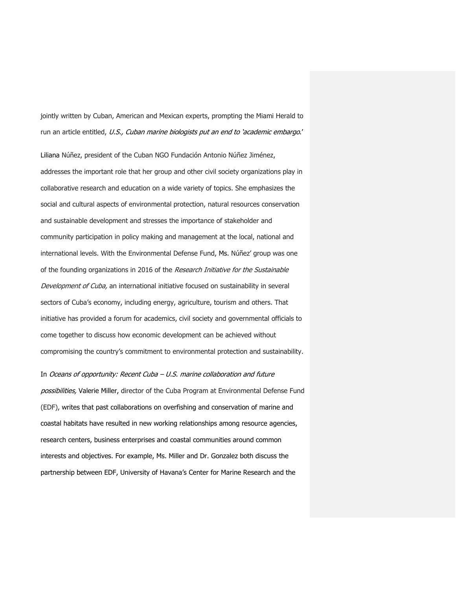jointly written by Cuban, American and Mexican experts, prompting the Miami Herald to run an article entitled, U.S., Cuban marine biologists put an end to 'academic embargo.'

Liliana Núñez, president of the Cuban NGO Fundación Antonio Núñez Jiménez, addresses the important role that her group and other civil society organizations play in collaborative research and education on a wide variety of topics. She emphasizes the social and cultural aspects of environmental protection, natural resources conservation and sustainable development and stresses the importance of stakeholder and community participation in policy making and management at the local, national and international levels. With the Environmental Defense Fund, Ms. Núñez' group was one of the founding organizations in 2016 of the Research Initiative for the Sustainable Development of Cuba, an international initiative focused on sustainability in several sectors of Cuba's economy, including energy, agriculture, tourism and others. That initiative has provided a forum for academics, civil society and governmental officials to come together to discuss how economic development can be achieved without compromising the country's commitment to environmental protection and sustainability.

In Oceans of opportunity: Recent Cuba – U.S. marine collaboration and future possibilities, Valerie Miller, director of the Cuba Program at Environmental Defense Fund (EDF), writes that past collaborations on overfishing and conservation of marine and coastal habitats have resulted in new working relationships among resource agencies, research centers, business enterprises and coastal communities around common interests and objectives. For example, Ms. Miller and Dr. Gonzalez both discuss the partnership between EDF, University of Havana's Center for Marine Research and the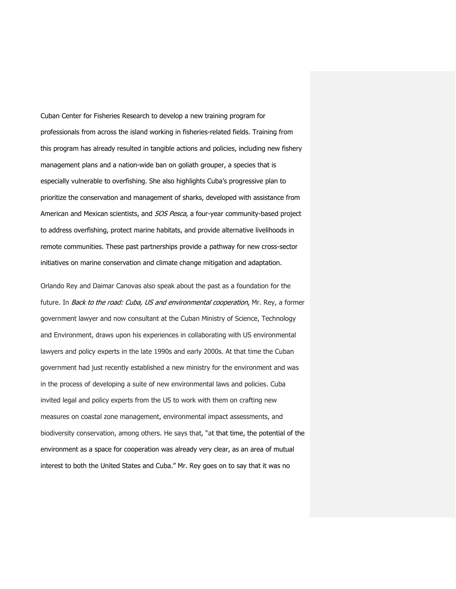Cuban Center for Fisheries Research to develop a new training program for professionals from across the island working in fisheries-related fields. Training from this program has already resulted in tangible actions and policies, including new fishery management plans and a nation-wide ban on goliath grouper, a species that is especially vulnerable to overfishing. She also highlights Cuba's progressive plan to prioritize the conservation and management of sharks, developed with assistance from American and Mexican scientists, and *SOS Pesca*, a four-year community-based project to address overfishing, protect marine habitats, and provide alternative livelihoods in remote communities. These past partnerships provide a pathway for new cross-sector initiatives on marine conservation and climate change mitigation and adaptation.

Orlando Rey and Daimar Canovas also speak about the past as a foundation for the future. In Back to the road: Cuba, US and environmental cooperation, Mr. Rey, a former government lawyer and now consultant at the Cuban Ministry of Science, Technology and Environment, draws upon his experiences in collaborating with US environmental lawyers and policy experts in the late 1990s and early 2000s. At that time the Cuban government had just recently established a new ministry for the environment and was in the process of developing a suite of new environmental laws and policies. Cuba invited legal and policy experts from the US to work with them on crafting new measures on coastal zone management, environmental impact assessments, and biodiversity conservation, among others. He says that, "at that time, the potential of the environment as a space for cooperation was already very clear, as an area of mutual interest to both the United States and Cuba." Mr. Rey goes on to say that it was no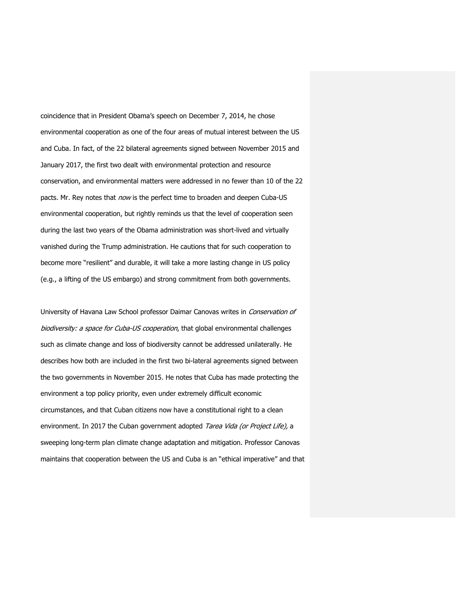coincidence that in President Obama's speech on December 7, 2014, he chose environmental cooperation as one of the four areas of mutual interest between the US and Cuba. In fact, of the 22 bilateral agreements signed between November 2015 and January 2017, the first two dealt with environmental protection and resource conservation, and environmental matters were addressed in no fewer than 10 of the 22 pacts. Mr. Rey notes that *now* is the perfect time to broaden and deepen Cuba-US environmental cooperation, but rightly reminds us that the level of cooperation seen during the last two years of the Obama administration was short-lived and virtually vanished during the Trump administration. He cautions that for such cooperation to become more "resilient" and durable, it will take a more lasting change in US policy (e.g., a lifting of the US embargo) and strong commitment from both governments.

University of Havana Law School professor Daimar Canovas writes in Conservation of biodiversity: a space for Cuba-US cooperation, that global environmental challenges such as climate change and loss of biodiversity cannot be addressed unilaterally. He describes how both are included in the first two bi-lateral agreements signed between the two governments in November 2015. He notes that Cuba has made protecting the environment a top policy priority, even under extremely difficult economic circumstances, and that Cuban citizens now have a constitutional right to a clean environment. In 2017 the Cuban government adopted Tarea Vida (or Project Life), a sweeping long-term plan climate change adaptation and mitigation. Professor Canovas maintains that cooperation between the US and Cuba is an "ethical imperative" and that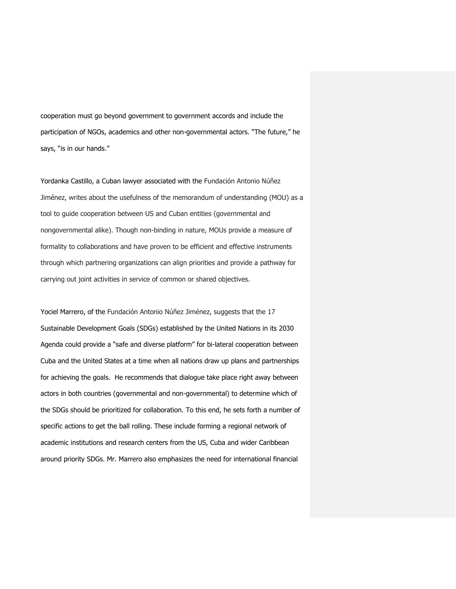cooperation must go beyond government to government accords and include the participation of NGOs, academics and other non-governmental actors. "The future," he says, "is in our hands."

Yordanka Castillo, a Cuban lawyer associated with the Fundación Antonio Núñez Jiménez, writes about the usefulness of the memorandum of understanding (MOU) as a tool to guide cooperation between US and Cuban entities (governmental and nongovernmental alike). Though non-binding in nature, MOUs provide a measure of formality to collaborations and have proven to be efficient and effective instruments through which partnering organizations can align priorities and provide a pathway for carrying out joint activities in service of common or shared objectives.

Yociel Marrero, of the Fundación Antonio Núñez Jiménez, suggests that the 17 Sustainable Development Goals (SDGs) established by the United Nations in its 2030 Agenda could provide a "safe and diverse platform" for bi-lateral cooperation between Cuba and the United States at a time when all nations draw up plans and partnerships for achieving the goals. He recommends that dialogue take place right away between actors in both countries (governmental and non-governmental) to determine which of the SDGs should be prioritized for collaboration. To this end, he sets forth a number of specific actions to get the ball rolling. These include forming a regional network of academic institutions and research centers from the US, Cuba and wider Caribbean around priority SDGs. Mr. Marrero also emphasizes the need for international financial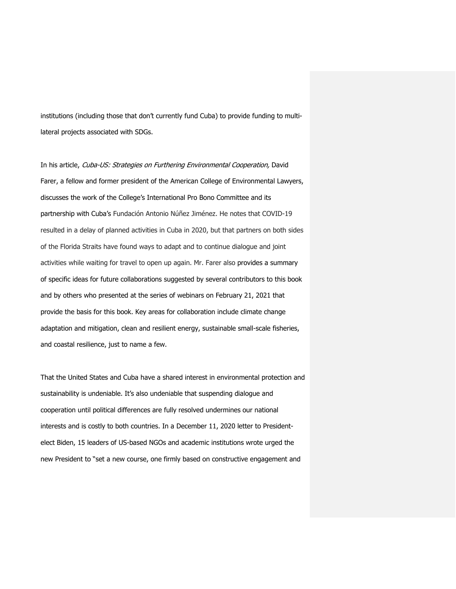institutions (including those that don't currently fund Cuba) to provide funding to multilateral projects associated with SDGs.

In his article, Cuba-US: Strategies on Furthering Environmental Cooperation, David Farer, a fellow and former president of the American College of Environmental Lawyers, discusses the work of the College's International Pro Bono Committee and its partnership with Cuba's Fundación Antonio Núñez Jiménez. He notes that COVID-19 resulted in a delay of planned activities in Cuba in 2020, but that partners on both sides of the Florida Straits have found ways to adapt and to continue dialogue and joint activities while waiting for travel to open up again. Mr. Farer also provides a summary of specific ideas for future collaborations suggested by several contributors to this book and by others who presented at the series of webinars on February 21, 2021 that provide the basis for this book. Key areas for collaboration include climate change adaptation and mitigation, clean and resilient energy, sustainable small-scale fisheries, and coastal resilience, just to name a few.

That the United States and Cuba have a shared interest in environmental protection and sustainability is undeniable. It's also undeniable that suspending dialogue and cooperation until political differences are fully resolved undermines our national interests and is costly to both countries. In a December 11, 2020 letter to Presidentelect Biden, 15 leaders of US-based NGOs and academic institutions wrote urged the new President to "set a new course, one firmly based on constructive engagement and